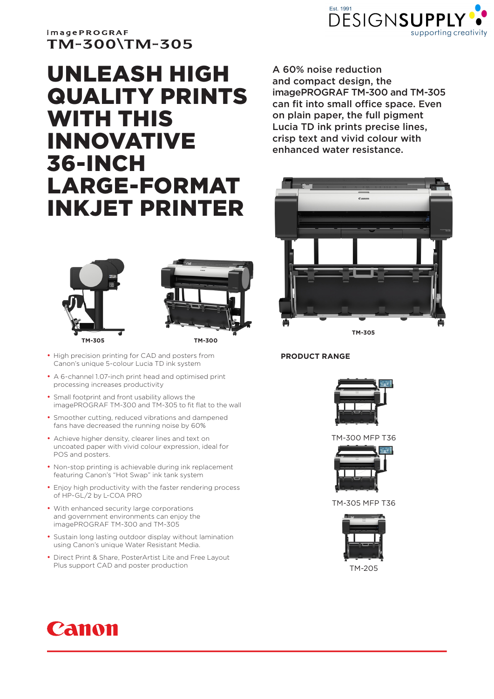

## **imagePROGRAF** TM-300\TM-305

# UNLEASH HIGH QUALITY PRINTS WITH THIS INNOVATIVE 36-INCH LARGE-FORMAT INKJET PRINTER





- High precision printing for CAD and posters from Canon's unique 5-colour Lucia TD ink system
- A 6-channel 1.07-inch print head and optimised print processing increases productivity
- Small footprint and front usability allows the imagePROGRAF TM-300 and TM-305 to fit flat to the wall
- Smoother cutting, reduced vibrations and dampened fans have decreased the running noise by 60%
- Achieve higher density, clearer lines and text on uncoated paper with vivid colour expression, ideal for POS and posters.
- Non-stop printing is achievable during ink replacement featuring Canon's "Hot Swap" ink tank system
- Enjoy high productivity with the faster rendering process of HP-GL/2 by L-COA PRO
- With enhanced security large corporations and government environments can enjoy the imagePROGRAF TM-300 and TM-305
- Sustain long lasting outdoor display without lamination using Canon's unique Water Resistant Media.
- Direct Print & Share, PosterArtist Lite and Free Layout Plus support CAD and poster production

A 60% noise reduction and compact design, the imagePROGRAF TM-300 and TM-305 can fit into small office space. Even on plain paper, the full pigment Lucia TD ink prints precise lines, crisp text and vivid colour with enhanced water resistance.



**TM-305**

#### **PRODUCT RANGE**



TM-300 MFP T36



TM-305 MFP T36



TM-205